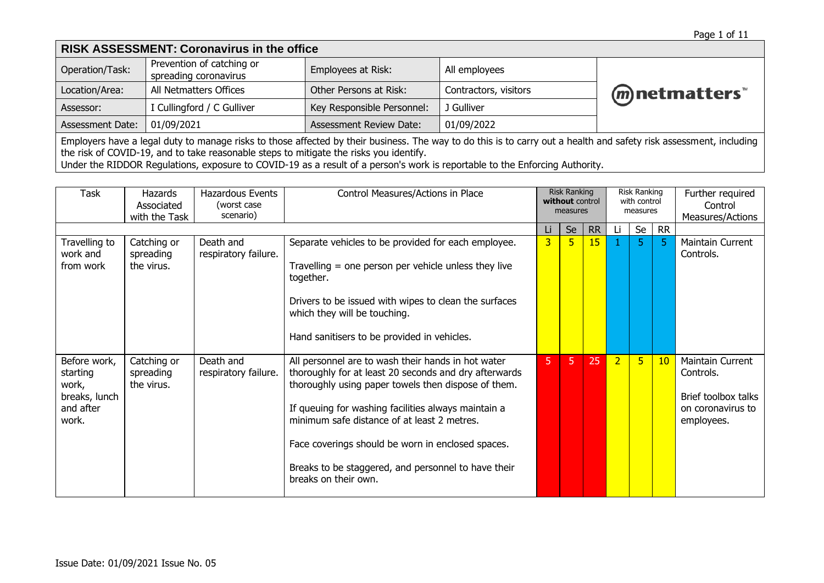| <b>RISK ASSESSMENT: Coronavirus in the office</b>                                                                                                                                                                                                                                                                                                                                           |                                                    |                                |                       |                 |  |  |  |  |  |
|---------------------------------------------------------------------------------------------------------------------------------------------------------------------------------------------------------------------------------------------------------------------------------------------------------------------------------------------------------------------------------------------|----------------------------------------------------|--------------------------------|-----------------------|-----------------|--|--|--|--|--|
| Operation/Task:                                                                                                                                                                                                                                                                                                                                                                             | Prevention of catching or<br>spreading coronavirus | Employees at Risk:             | All employees         |                 |  |  |  |  |  |
| Location/Area:                                                                                                                                                                                                                                                                                                                                                                              | All Netmatters Offices                             | Other Persons at Risk:         | Contractors, visitors | (m) netmatters" |  |  |  |  |  |
| Assessor:                                                                                                                                                                                                                                                                                                                                                                                   | I Cullingford / C Gulliver                         | Key Responsible Personnel:     | J Gulliver            |                 |  |  |  |  |  |
| <b>Assessment Date:</b>                                                                                                                                                                                                                                                                                                                                                                     | 01/09/2021                                         | <b>Assessment Review Date:</b> | 01/09/2022            |                 |  |  |  |  |  |
| Employers have a legal duty to manage risks to those affected by their business. The way to do this is to carry out a health and safety risk assessment, including<br>the risk of COVID-19, and to take reasonable steps to mitigate the risks you identify.<br>Under the RIDDOR Regulations, exposure to COVID-19 as a result of a person's work is reportable to the Enforcing Authority. |                                                    |                                |                       |                 |  |  |  |  |  |

| Task                                                                     | <b>Hazards</b><br>Associated<br>with the Task | <b>Hazardous Events</b><br>(worst case)<br>scenario) | Control Measures/Actions in Place                                                                                                                                                                                                                                                                                                                                                                            |                | <b>Risk Ranking</b><br>without control<br>measures |           |                | <b>Risk Ranking</b><br>with control<br>measures |           | Further required<br>Control<br>Measures/Actions                                         |
|--------------------------------------------------------------------------|-----------------------------------------------|------------------------------------------------------|--------------------------------------------------------------------------------------------------------------------------------------------------------------------------------------------------------------------------------------------------------------------------------------------------------------------------------------------------------------------------------------------------------------|----------------|----------------------------------------------------|-----------|----------------|-------------------------------------------------|-----------|-----------------------------------------------------------------------------------------|
|                                                                          |                                               |                                                      |                                                                                                                                                                                                                                                                                                                                                                                                              | Li             | Se                                                 | <b>RR</b> | Li             | Se                                              | <b>RR</b> |                                                                                         |
| Travelling to<br>work and<br>from work                                   | Catching or<br>spreading<br>the virus.        | Death and<br>respiratory failure.                    | Separate vehicles to be provided for each employee.<br>Travelling $=$ one person per vehicle unless they live<br>together.<br>Drivers to be issued with wipes to clean the surfaces<br>which they will be touching.<br>Hand sanitisers to be provided in vehicles.                                                                                                                                           | 3 <sup>1</sup> | 5                                                  | 15        |                | 5                                               | 5.        | Maintain Current<br>Controls.                                                           |
| Before work,<br>starting<br>work,<br>breaks, lunch<br>and after<br>work. | Catching or<br>spreading<br>the virus.        | Death and<br>respiratory failure.                    | All personnel are to wash their hands in hot water<br>thoroughly for at least 20 seconds and dry afterwards<br>thoroughly using paper towels then dispose of them.<br>If queuing for washing facilities always maintain a<br>minimum safe distance of at least 2 metres.<br>Face coverings should be worn in enclosed spaces.<br>Breaks to be staggered, and personnel to have their<br>breaks on their own. | 5.             | 5                                                  | 25        | $\overline{2}$ | 5                                               | 10        | Maintain Current<br>Controls.<br>Brief toolbox talks<br>on coronavirus to<br>employees. |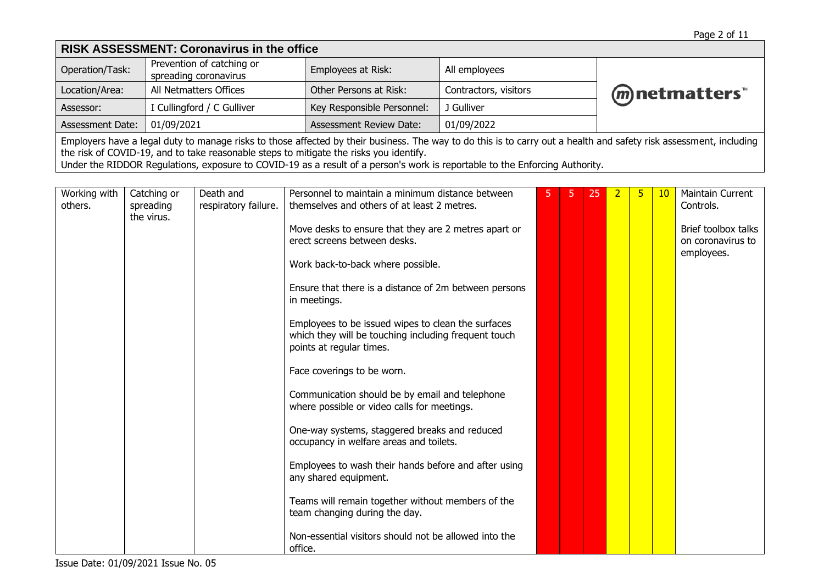| <b>RISK ASSESSMENT: Coronavirus in the office</b>                                                                                                                                                                                                                                                                                                                                           |                                                    |                                |                       |                 |  |  |  |  |  |
|---------------------------------------------------------------------------------------------------------------------------------------------------------------------------------------------------------------------------------------------------------------------------------------------------------------------------------------------------------------------------------------------|----------------------------------------------------|--------------------------------|-----------------------|-----------------|--|--|--|--|--|
| Operation/Task:                                                                                                                                                                                                                                                                                                                                                                             | Prevention of catching or<br>spreading coronavirus | Employees at Risk:             | All employees         |                 |  |  |  |  |  |
| Location/Area:                                                                                                                                                                                                                                                                                                                                                                              | All Netmatters Offices                             | Other Persons at Risk:         | Contractors, visitors | (m) netmatters" |  |  |  |  |  |
| Assessor:                                                                                                                                                                                                                                                                                                                                                                                   | I Cullingford / C Gulliver                         | Key Responsible Personnel:     | J Gulliver            |                 |  |  |  |  |  |
| Assessment Date:                                                                                                                                                                                                                                                                                                                                                                            | 01/09/2021                                         | <b>Assessment Review Date:</b> | 01/09/2022            |                 |  |  |  |  |  |
| Employers have a legal duty to manage risks to those affected by their business. The way to do this is to carry out a health and safety risk assessment, including<br>the risk of COVID-19, and to take reasonable steps to mitigate the risks you identify.<br>Under the RIDDOR Regulations, exposure to COVID-19 as a result of a person's work is reportable to the Enforcing Authority. |                                                    |                                |                       |                 |  |  |  |  |  |

| Working with<br>others. | Catching or<br>spreading<br>the virus. | Death and<br>respiratory failure. | Personnel to maintain a minimum distance between<br>themselves and others of at least 2 metres.                                        | 5. | 25 | 2 | 10 <sup>°</sup> | Maintain Current<br>Controls.                          |
|-------------------------|----------------------------------------|-----------------------------------|----------------------------------------------------------------------------------------------------------------------------------------|----|----|---|-----------------|--------------------------------------------------------|
|                         |                                        |                                   | Move desks to ensure that they are 2 metres apart or<br>erect screens between desks.                                                   |    |    |   |                 | Brief toolbox talks<br>on coronavirus to<br>employees. |
|                         |                                        |                                   | Work back-to-back where possible.                                                                                                      |    |    |   |                 |                                                        |
|                         |                                        |                                   | Ensure that there is a distance of 2m between persons<br>in meetings.                                                                  |    |    |   |                 |                                                        |
|                         |                                        |                                   | Employees to be issued wipes to clean the surfaces<br>which they will be touching including frequent touch<br>points at regular times. |    |    |   |                 |                                                        |
|                         |                                        |                                   | Face coverings to be worn.                                                                                                             |    |    |   |                 |                                                        |
|                         |                                        |                                   | Communication should be by email and telephone<br>where possible or video calls for meetings.                                          |    |    |   |                 |                                                        |
|                         |                                        |                                   | One-way systems, staggered breaks and reduced<br>occupancy in welfare areas and toilets.                                               |    |    |   |                 |                                                        |
|                         |                                        |                                   | Employees to wash their hands before and after using<br>any shared equipment.                                                          |    |    |   |                 |                                                        |
|                         |                                        |                                   | Teams will remain together without members of the<br>team changing during the day.                                                     |    |    |   |                 |                                                        |
|                         |                                        |                                   | Non-essential visitors should not be allowed into the<br>office.                                                                       |    |    |   |                 |                                                        |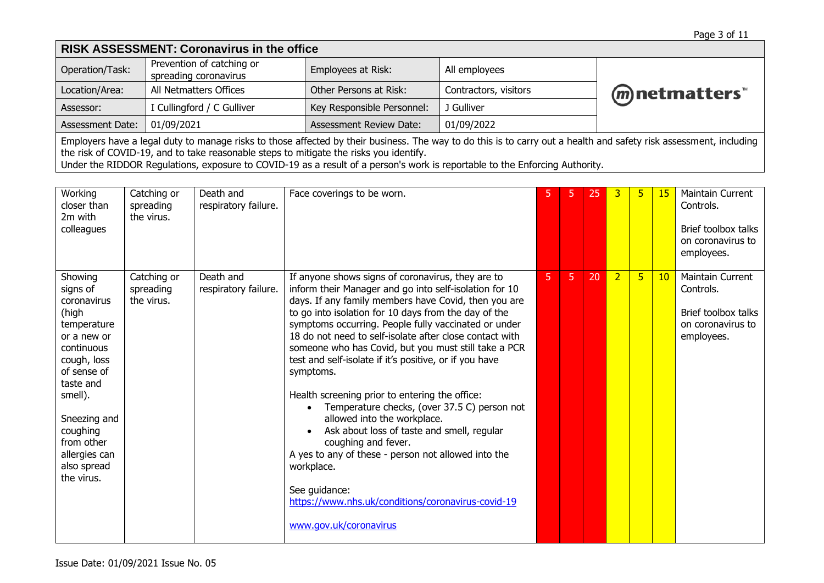| <b>RISK ASSESSMENT: Coronavirus in the office</b>                                                                                                                                                                                                                                                                                                                                           |                                                    |                                |                       |              |  |  |  |  |
|---------------------------------------------------------------------------------------------------------------------------------------------------------------------------------------------------------------------------------------------------------------------------------------------------------------------------------------------------------------------------------------------|----------------------------------------------------|--------------------------------|-----------------------|--------------|--|--|--|--|
| Operation/Task:                                                                                                                                                                                                                                                                                                                                                                             | Prevention of catching or<br>spreading coronavirus | Employees at Risk:             | All employees         |              |  |  |  |  |
| Location/Area:                                                                                                                                                                                                                                                                                                                                                                              | All Netmatters Offices                             | Other Persons at Risk:         | Contractors, visitors | mnetmatters" |  |  |  |  |
| Assessor:                                                                                                                                                                                                                                                                                                                                                                                   | I Cullingford / C Gulliver                         | Key Responsible Personnel:     | J Gulliver            |              |  |  |  |  |
| Assessment Date:                                                                                                                                                                                                                                                                                                                                                                            | 01/09/2021                                         | <b>Assessment Review Date:</b> | 01/09/2022            |              |  |  |  |  |
| Employers have a legal duty to manage risks to those affected by their business. The way to do this is to carry out a health and safety risk assessment, including<br>the risk of COVID-19, and to take reasonable steps to mitigate the risks you identify.<br>Under the RIDDOR Regulations, exposure to COVID-19 as a result of a person's work is reportable to the Enforcing Authority. |                                                    |                                |                       |              |  |  |  |  |

| Working<br>closer than<br>2m with<br>colleagues                                                                                                                                                                                       | Catching or<br>spreading<br>the virus. | Death and<br>respiratory failure. | Face coverings to be worn.                                                                                                                                                                                                                                                                                                                                                                                                                                                                                                                                                                                                                                                                                                                                                                                                                                |   |   | 25 | 3              | 5 | 15 | <b>Maintain Current</b><br>Controls.<br>Brief toolbox talks<br>on coronavirus to<br>employees. |
|---------------------------------------------------------------------------------------------------------------------------------------------------------------------------------------------------------------------------------------|----------------------------------------|-----------------------------------|-----------------------------------------------------------------------------------------------------------------------------------------------------------------------------------------------------------------------------------------------------------------------------------------------------------------------------------------------------------------------------------------------------------------------------------------------------------------------------------------------------------------------------------------------------------------------------------------------------------------------------------------------------------------------------------------------------------------------------------------------------------------------------------------------------------------------------------------------------------|---|---|----|----------------|---|----|------------------------------------------------------------------------------------------------|
| Showing<br>signs of<br>coronavirus<br>(high<br>temperature<br>or a new or<br>continuous<br>cough, loss<br>of sense of<br>taste and<br>smell).<br>Sneezing and<br>coughing<br>from other<br>allergies can<br>also spread<br>the virus. | Catching or<br>spreading<br>the virus. | Death and<br>respiratory failure. | If anyone shows signs of coronavirus, they are to<br>inform their Manager and go into self-isolation for 10<br>days. If any family members have Covid, then you are<br>to go into isolation for 10 days from the day of the<br>symptoms occurring. People fully vaccinated or under<br>18 do not need to self-isolate after close contact with<br>someone who has Covid, but you must still take a PCR<br>test and self-isolate if it's positive, or if you have<br>symptoms.<br>Health screening prior to entering the office:<br>Temperature checks, (over 37.5 C) person not<br>allowed into the workplace.<br>Ask about loss of taste and smell, regular<br>coughing and fever.<br>A yes to any of these - person not allowed into the<br>workplace.<br>See quidance:<br>https://www.nhs.uk/conditions/coronavirus-covid-19<br>www.gov.uk/coronavirus | 5 | 5 | 20 | $\overline{2}$ | 5 | 10 | Maintain Current<br>Controls.<br>Brief toolbox talks<br>on coronavirus to<br>employees.        |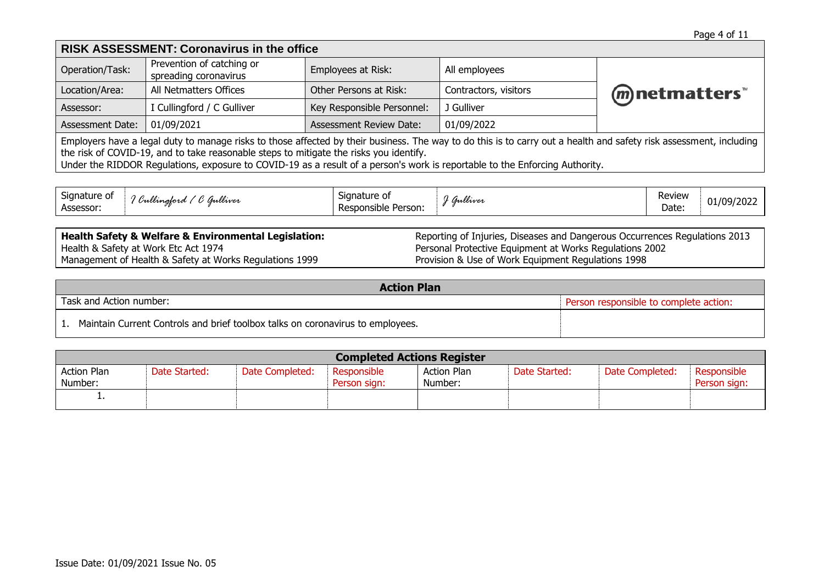| <b>RISK ASSESSMENT: Coronavirus in the office</b>                                                                                                                                                                                                                                                                                                                                           |                                                    |                                |                       |                 |  |  |  |  |
|---------------------------------------------------------------------------------------------------------------------------------------------------------------------------------------------------------------------------------------------------------------------------------------------------------------------------------------------------------------------------------------------|----------------------------------------------------|--------------------------------|-----------------------|-----------------|--|--|--|--|
| Operation/Task:                                                                                                                                                                                                                                                                                                                                                                             | Prevention of catching or<br>spreading coronavirus | Employees at Risk:             | All employees         |                 |  |  |  |  |
| Location/Area:                                                                                                                                                                                                                                                                                                                                                                              | All Netmatters Offices                             | Other Persons at Risk:         | Contractors, visitors | (m) netmatters™ |  |  |  |  |
| Assessor:                                                                                                                                                                                                                                                                                                                                                                                   | I Cullingford / C Gulliver                         | Key Responsible Personnel:     | J Gulliver            |                 |  |  |  |  |
| <b>Assessment Date:</b>                                                                                                                                                                                                                                                                                                                                                                     | 01/09/2021                                         | <b>Assessment Review Date:</b> | 01/09/2022            |                 |  |  |  |  |
| Employers have a legal duty to manage risks to those affected by their business. The way to do this is to carry out a health and safety risk assessment, including<br>the risk of COVID-19, and to take reasonable steps to mitigate the risks you identify.<br>Under the RIDDOR Regulations, exposure to COVID-19 as a result of a person's work is reportable to the Enforcing Authority. |                                                    |                                |                       |                 |  |  |  |  |

| -<br>Signature of<br>Signature of<br>$\sqrt{2}$<br><br>$\epsilon$<br>imilwer<br>Unlimajord<br><br>Assessor:<br>Responsible<br>Person:<br>rcs. | $\overline{\phantom{a}}$<br>milliver | Review<br>Date: | 01/09/2022 |
|-----------------------------------------------------------------------------------------------------------------------------------------------|--------------------------------------|-----------------|------------|
|-----------------------------------------------------------------------------------------------------------------------------------------------|--------------------------------------|-----------------|------------|

**Health Safety & Welfare & Environmental Legislation:** Health & Safety at Work Etc Act 1974 Management of Health & Safety at Works Regulations 1999

Reporting of Injuries, Diseases and Dangerous Occurrences Regulations 2013 Personal Protective Equipment at Works Regulations 2002 Provision & Use of Work Equipment Regulations 1998

| <b>Action Plan</b>                                                             |  |  |  |  |  |  |  |
|--------------------------------------------------------------------------------|--|--|--|--|--|--|--|
| Task and Action number:<br>Person responsible to complete action:              |  |  |  |  |  |  |  |
| Maintain Current Controls and brief toolbox talks on coronavirus to employees. |  |  |  |  |  |  |  |

| <b>Completed Actions Register</b> |               |                 |                             |                               |               |                 |                             |  |  |
|-----------------------------------|---------------|-----------------|-----------------------------|-------------------------------|---------------|-----------------|-----------------------------|--|--|
| <b>Action Plan</b><br>Number:     | Date Started: | Date Completed: | Responsible<br>Person sign: | <b>Action Plan</b><br>Number: | Date Started: | Date Completed: | Responsible<br>Person sign: |  |  |
| . .                               |               |                 |                             |                               |               |                 |                             |  |  |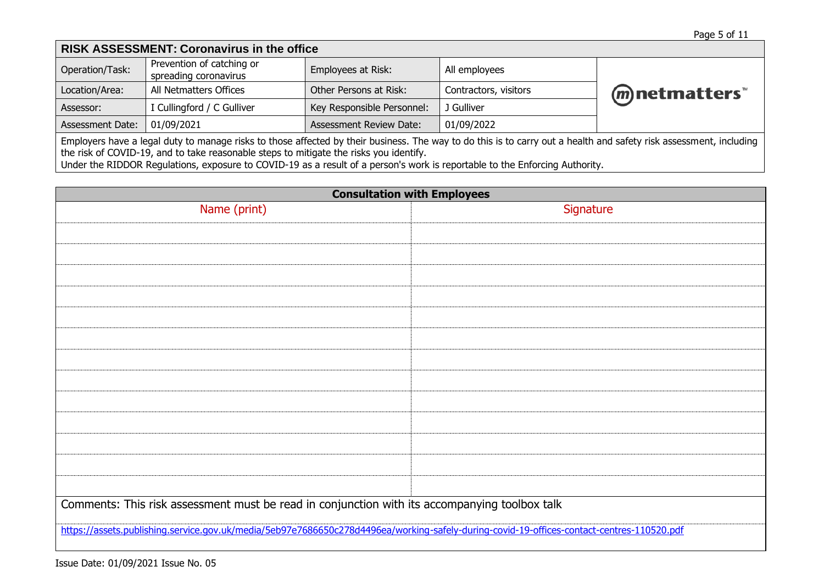| <b>RISK ASSESSMENT: Coronavirus in the office</b>                                                                                                                                                                                                                                                                                                                                           |                                                    |                                |                       |                 |  |  |  |  |  |
|---------------------------------------------------------------------------------------------------------------------------------------------------------------------------------------------------------------------------------------------------------------------------------------------------------------------------------------------------------------------------------------------|----------------------------------------------------|--------------------------------|-----------------------|-----------------|--|--|--|--|--|
| Operation/Task:                                                                                                                                                                                                                                                                                                                                                                             | Prevention of catching or<br>spreading coronavirus | Employees at Risk:             | All employees         |                 |  |  |  |  |  |
| Location/Area:                                                                                                                                                                                                                                                                                                                                                                              | All Netmatters Offices                             | Other Persons at Risk:         | Contractors, visitors | (m) netmatters" |  |  |  |  |  |
| Assessor:                                                                                                                                                                                                                                                                                                                                                                                   | I Cullingford / C Gulliver                         | Key Responsible Personnel:     | J Gulliver            |                 |  |  |  |  |  |
| Assessment Date:                                                                                                                                                                                                                                                                                                                                                                            | 01/09/2021                                         | <b>Assessment Review Date:</b> | 01/09/2022            |                 |  |  |  |  |  |
| Employers have a legal duty to manage risks to those affected by their business. The way to do this is to carry out a health and safety risk assessment, including<br>the risk of COVID-19, and to take reasonable steps to mitigate the risks you identify.<br>Under the RIDDOR Regulations, exposure to COVID-19 as a result of a person's work is reportable to the Enforcing Authority. |                                                    |                                |                       |                 |  |  |  |  |  |

| <b>Consultation with Employees</b>                                                                                                        |           |  |  |  |  |  |  |
|-------------------------------------------------------------------------------------------------------------------------------------------|-----------|--|--|--|--|--|--|
| Name (print)                                                                                                                              | Signature |  |  |  |  |  |  |
|                                                                                                                                           |           |  |  |  |  |  |  |
|                                                                                                                                           |           |  |  |  |  |  |  |
|                                                                                                                                           |           |  |  |  |  |  |  |
|                                                                                                                                           |           |  |  |  |  |  |  |
|                                                                                                                                           |           |  |  |  |  |  |  |
|                                                                                                                                           |           |  |  |  |  |  |  |
|                                                                                                                                           |           |  |  |  |  |  |  |
|                                                                                                                                           |           |  |  |  |  |  |  |
|                                                                                                                                           |           |  |  |  |  |  |  |
|                                                                                                                                           |           |  |  |  |  |  |  |
|                                                                                                                                           |           |  |  |  |  |  |  |
|                                                                                                                                           |           |  |  |  |  |  |  |
|                                                                                                                                           |           |  |  |  |  |  |  |
|                                                                                                                                           |           |  |  |  |  |  |  |
| Comments: This risk assessment must be read in conjunction with its accompanying toolbox talk                                             |           |  |  |  |  |  |  |
|                                                                                                                                           |           |  |  |  |  |  |  |
| https://assets.publishing.service.gov.uk/media/5eb97e7686650c278d4496ea/working-safely-during-covid-19-offices-contact-centres-110520.pdf |           |  |  |  |  |  |  |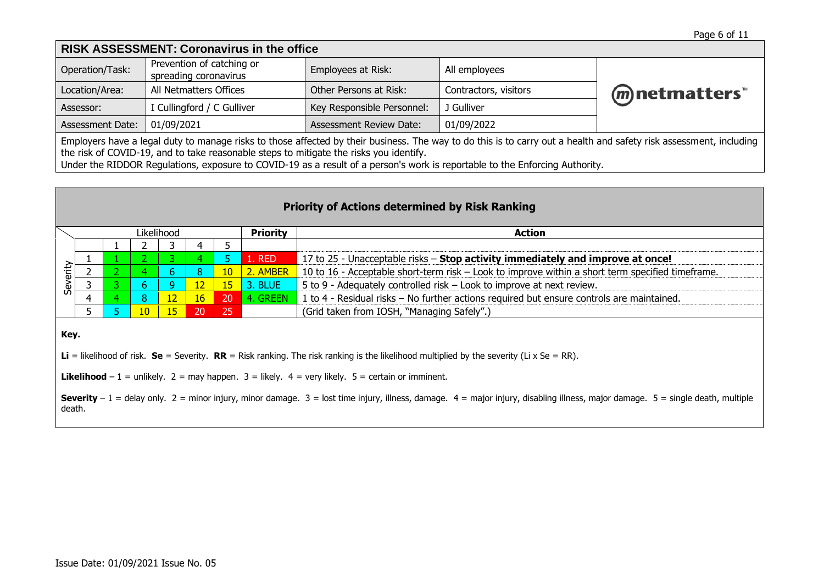| <b>RISK ASSESSMENT: Coronavirus in the office</b>                                                                                                                                                                                                                                                                                                                                           |                                                    |                                |                       |                |  |
|---------------------------------------------------------------------------------------------------------------------------------------------------------------------------------------------------------------------------------------------------------------------------------------------------------------------------------------------------------------------------------------------|----------------------------------------------------|--------------------------------|-----------------------|----------------|--|
| Operation/Task:                                                                                                                                                                                                                                                                                                                                                                             | Prevention of catching or<br>spreading coronavirus | Employees at Risk:             | All employees         |                |  |
| Location/Area:                                                                                                                                                                                                                                                                                                                                                                              | All Netmatters Offices                             | Other Persons at Risk:         | Contractors, visitors | (m) netmatters |  |
| Assessor:                                                                                                                                                                                                                                                                                                                                                                                   | I Cullingford / C Gulliver                         | Key Responsible Personnel:     | J Gulliver            |                |  |
| Assessment Date:                                                                                                                                                                                                                                                                                                                                                                            | 01/09/2021                                         | <b>Assessment Review Date:</b> | 01/09/2022            |                |  |
| Employers have a legal duty to manage risks to those affected by their business. The way to do this is to carry out a health and safety risk assessment, including<br>the risk of COVID-19, and to take reasonable steps to mitigate the risks you identify.<br>Under the RIDDOR Regulations, exposure to COVID-19 as a result of a person's work is reportable to the Enforcing Authority. |                                                    |                                |                       |                |  |

| <b>Priority of Actions determined by Risk Ranking</b>                                                                                                                                              |              |                |                 |                 |                 |                 |                 |                                                                                                  |
|----------------------------------------------------------------------------------------------------------------------------------------------------------------------------------------------------|--------------|----------------|-----------------|-----------------|-----------------|-----------------|-----------------|--------------------------------------------------------------------------------------------------|
|                                                                                                                                                                                                    |              |                | Likelihood      |                 |                 |                 | <b>Priority</b> | <b>Action</b>                                                                                    |
|                                                                                                                                                                                                    |              |                |                 |                 | 4               | 5               |                 |                                                                                                  |
|                                                                                                                                                                                                    |              |                |                 | 3.              |                 | 5.              | 1. RED          | 17 to 25 - Unacceptable risks – Stop activity immediately and improve at once!                   |
| Severity                                                                                                                                                                                           |              | 2 <sup>1</sup> | ъ.              | 6               | 8               | 10 <sub>1</sub> | 2. AMBER        | 10 to 16 - Acceptable short-term risk - Look to improve within a short term specified timeframe. |
|                                                                                                                                                                                                    | $\mathbf{C}$ | 3.             | 6.              | 9.              | 12 <sub>2</sub> | 15 <sup>2</sup> | 3. BLUE         | 5 to 9 - Adequately controlled risk – Look to improve at next review.                            |
|                                                                                                                                                                                                    | 4            | 4              | 8               | 12 <sup>1</sup> | 16 <sup>°</sup> | 20              | 4. GREEN        | 1 to 4 - Residual risks – No further actions required but ensure controls are maintained.        |
|                                                                                                                                                                                                    | 5.           |                | 10 <sup>°</sup> | 15              | 20              | 25              |                 | (Grid taken from IOSH, "Managing Safely".)                                                       |
| Key.                                                                                                                                                                                               |              |                |                 |                 |                 |                 |                 |                                                                                                  |
| <b>Li</b> = likelihood of risk. <b>Se</b> = Severity. <b>RR</b> = Risk ranking. The risk ranking is the likelihood multiplied by the severity (Li x Se = RR).                                      |              |                |                 |                 |                 |                 |                 |                                                                                                  |
| <b>Likelihood</b> – 1 = unlikely. 2 = may happen. 3 = likely. $4$ = very likely. 5 = certain or imminent.                                                                                          |              |                |                 |                 |                 |                 |                 |                                                                                                  |
| Severity $-1$ = delay only. $2$ = minor injury, minor damage. $3$ = lost time injury, illness, damage. $4$ = major injury, disabling illness, major damage. $5$ = single death, multiple<br>death. |              |                |                 |                 |                 |                 |                 |                                                                                                  |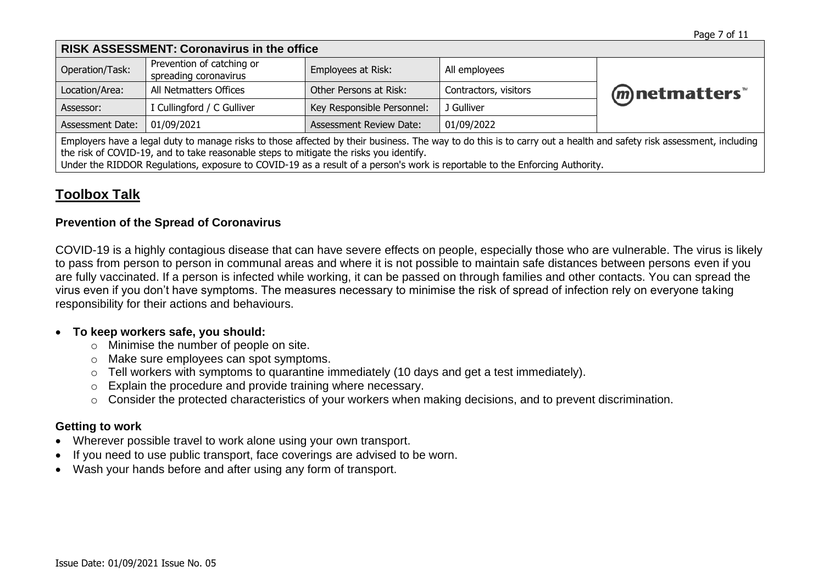| <b>RISK ASSESSMENT: Coronavirus in the office</b>                                                                                                                  |                                                    |                                |                       |                          |  |
|--------------------------------------------------------------------------------------------------------------------------------------------------------------------|----------------------------------------------------|--------------------------------|-----------------------|--------------------------|--|
| Operation/Task:                                                                                                                                                    | Prevention of catching or<br>spreading coronavirus | Employees at Risk:             | All employees         |                          |  |
| Location/Area:                                                                                                                                                     | All Netmatters Offices                             | Other Persons at Risk:         | Contractors, visitors | ( <i>m</i> ) netmatters" |  |
| Assessor:                                                                                                                                                          | I Cullingford / C Gulliver                         | Key Responsible Personnel:     | J Gulliver            |                          |  |
| Assessment Date:                                                                                                                                                   | 01/09/2021                                         | <b>Assessment Review Date:</b> | 01/09/2022            |                          |  |
| Employers have a legal duty to manage risks to those affected by their business. The way to do this is to carry out a health and safety risk assessment, including |                                                    |                                |                       |                          |  |

duty to manage risks to those affected by their business. The way to do this is to carry out a health and safety risk assessn the risk of COVID-19, and to take reasonable steps to mitigate the risks you identify.

Under the RIDDOR Regulations, exposure to COVID-19 as a result of a person's work is reportable to the Enforcing Authority.

# **Toolbox Talk**

#### **Prevention of the Spread of Coronavirus**

COVID-19 is a highly contagious disease that can have severe effects on people, especially those who are vulnerable. The virus is likely to pass from person to person in communal areas and where it is not possible to maintain safe distances between persons even if you are fully vaccinated. If a person is infected while working, it can be passed on through families and other contacts. You can spread the virus even if you don't have symptoms. The measures necessary to minimise the risk of spread of infection rely on everyone taking responsibility for their actions and behaviours.

#### • **To keep workers safe, you should:**

- o Minimise the number of people on site.
- o Make sure employees can [spot symptoms.](https://www.nhs.uk/conditions/coronavirus-covid-19/check-if-you-have-coronavirus-symptoms/)
- o Tell workers with symptoms to [quarantine immediately](https://www.nhs.uk/conditions/coronavirus-covid-19/what-to-do-if-you-or-someone-you-live-with-has-coronavirus-symptoms/staying-at-home-if-you-or-someone-you-live-with-has-coronavirus-symptoms/) (10 days and get a test immediately).
- o Explain the procedure and provide training where necessary.
- o Consider the protected characteristics of your workers when making decisions, and to prevent discrimination.

# **Getting to work**

- Wherever possible travel to work alone using your own transport.
- If you need to use public transport, face coverings are advised to be worn.
- Wash your hands before and after using any form of transport.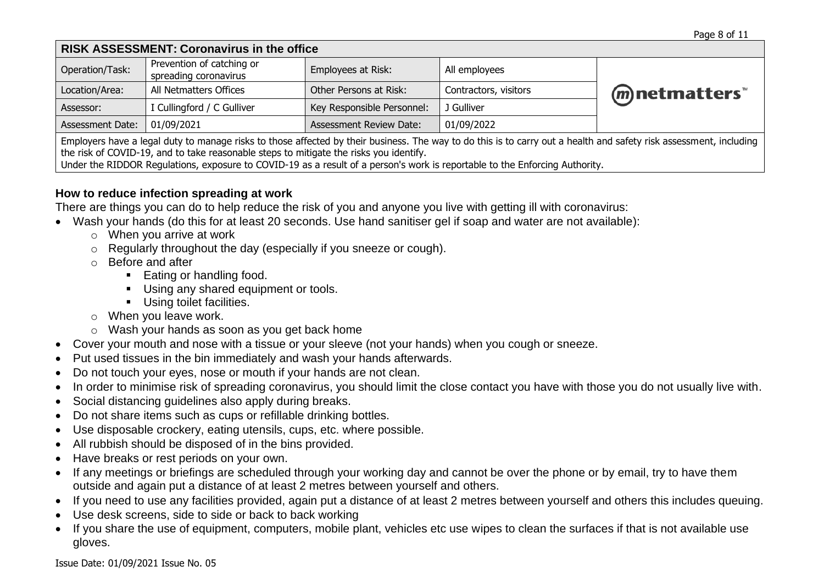| <b>RISK ASSESSMENT: Coronavirus in the office</b>                                                                                                                                                                                                            |                                                    |                                |                       |             |  |
|--------------------------------------------------------------------------------------------------------------------------------------------------------------------------------------------------------------------------------------------------------------|----------------------------------------------------|--------------------------------|-----------------------|-------------|--|
| Operation/Task:                                                                                                                                                                                                                                              | Prevention of catching or<br>spreading coronavirus | Employees at Risk:             | All employees         |             |  |
| Location/Area:                                                                                                                                                                                                                                               | All Netmatters Offices                             | Other Persons at Risk:         | Contractors, visitors | mnetmatters |  |
| Assessor:                                                                                                                                                                                                                                                    | I Cullingford / C Gulliver                         | Key Responsible Personnel:     | J Gulliver            |             |  |
| Assessment Date:                                                                                                                                                                                                                                             | 01/09/2021                                         | <b>Assessment Review Date:</b> | 01/09/2022            |             |  |
| Employers have a legal duty to manage risks to those affected by their business. The way to do this is to carry out a health and safety risk assessment, including<br>the risk of COVID-19, and to take reasonable steps to mitigate the risks you identify. |                                                    |                                |                       |             |  |

Under the RIDDOR Regulations, exposure to COVID-19 as a result of a person's work is reportable to the Enforcing Authority.

#### **How to reduce infection spreading at work**

There are things you can do to help reduce the risk of you and anyone you live with getting ill with coronavirus:

- Wash your hands (do this for at least 20 seconds. Use hand sanitiser gel if soap and water are not available):
	- o When you arrive at work
	- o Regularly throughout the day (especially if you sneeze or cough).
	- o Before and after
		- Eating or handling food.
		- Using any shared equipment or tools.
		- Using toilet facilities.
	- o When you leave work.
	- o Wash your hands as soon as you get back home
- Cover your mouth and nose with a tissue or your sleeve (not your hands) when you cough or sneeze.
- Put used tissues in the bin immediately and wash your hands afterwards.
- Do not touch your eyes, nose or mouth if your hands are not clean.
- In order to minimise risk of spreading coronavirus, you should limit the close contact you have with those you do not usually live with.
- Social distancing guidelines also apply during breaks.
- Do not share items such as cups or refillable drinking bottles.
- Use disposable crockery, eating utensils, cups, etc. where possible.
- All rubbish should be disposed of in the bins provided.
- Have breaks or rest periods on your own.
- If any meetings or briefings are scheduled through your working day and cannot be over the phone or by email, try to have them outside and again put a distance of at least 2 metres between yourself and others.
- If you need to use any facilities provided, again put a distance of at least 2 metres between yourself and others this includes queuing.
- Use desk screens, side to side or back to back working
- If you share the use of equipment, computers, mobile plant, vehicles etc use wipes to clean the surfaces if that is not available use gloves.

Issue Date: 01/09/2021 Issue No. 05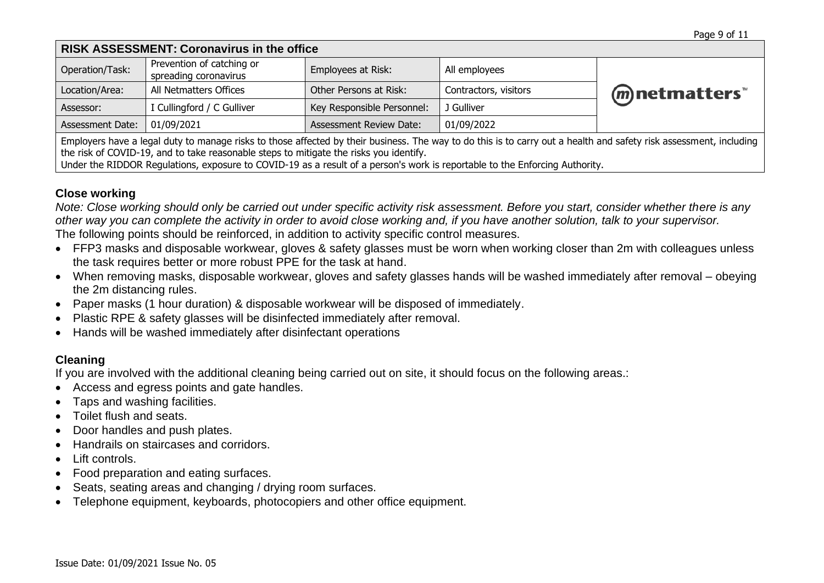| <b>RISK ASSESSMENT: Coronavirus in the office</b>                                                                                                                                                                                                            |                                                    |                                |                       |             |
|--------------------------------------------------------------------------------------------------------------------------------------------------------------------------------------------------------------------------------------------------------------|----------------------------------------------------|--------------------------------|-----------------------|-------------|
| Operation/Task:                                                                                                                                                                                                                                              | Prevention of catching or<br>spreading coronavirus | Employees at Risk:             | All employees         |             |
| Location/Area:                                                                                                                                                                                                                                               | All Netmatters Offices                             | Other Persons at Risk:         | Contractors, visitors | mnetmatters |
| Assessor:                                                                                                                                                                                                                                                    | I Cullingford / C Gulliver                         | Key Responsible Personnel:     | J Gulliver            |             |
| <b>Assessment Date:</b>                                                                                                                                                                                                                                      | 01/09/2021                                         | <b>Assessment Review Date:</b> | 01/09/2022            |             |
| Employers have a legal duty to manage risks to those affected by their business. The way to do this is to carry out a health and safety risk assessment, including<br>the risk of COVID-19, and to take reasonable steps to mitigate the risks you identify. |                                                    |                                |                       |             |

Under the RIDDOR Regulations, exposure to COVID-19 as a result of a person's work is reportable to the Enforcing Authority.

#### **Close working**

*Note: Close working should only be carried out under specific activity risk assessment. Before you start, consider whether there is any other way you can complete the activity in order to avoid close working and, if you have another solution, talk to your supervisor.*  The following points should be reinforced, in addition to activity specific control measures.

- FFP3 masks and disposable workwear, gloves & safety glasses must be worn when working closer than 2m with colleagues unless the task requires better or more robust PPE for the task at hand.
- When removing masks, disposable workwear, gloves and safety glasses hands will be washed immediately after removal obeying the 2m distancing rules.
- Paper masks (1 hour duration) & disposable workwear will be disposed of immediately.
- Plastic RPE & safety glasses will be disinfected immediately after removal.
- Hands will be washed immediately after disinfectant operations

# **Cleaning**

If you are involved with the additional cleaning being carried out on site, it should focus on the following areas.:

- Access and egress points and gate handles.
- Taps and washing facilities.
- Toilet flush and seats.
- Door handles and push plates.
- Handrails on staircases and corridors.
- Lift controls.
- Food preparation and eating surfaces.
- Seats, seating areas and changing / drying room surfaces.
- Telephone equipment, keyboards, photocopiers and other office equipment.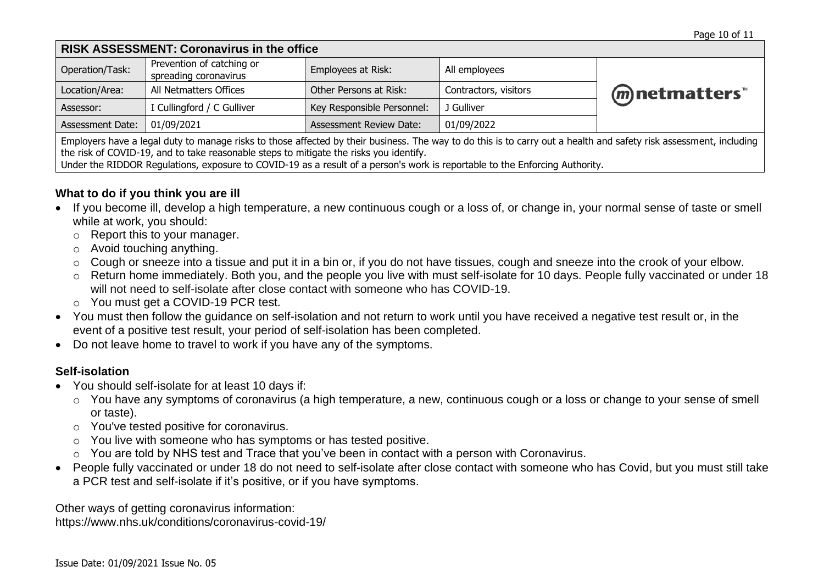| <b>RISK ASSESSMENT: Coronavirus in the office</b>                                                                                                                                                                                                            |                                                    |                                |                       |                 |  |
|--------------------------------------------------------------------------------------------------------------------------------------------------------------------------------------------------------------------------------------------------------------|----------------------------------------------------|--------------------------------|-----------------------|-----------------|--|
| Operation/Task:                                                                                                                                                                                                                                              | Prevention of catching or<br>spreading coronavirus | Employees at Risk:             | All employees         |                 |  |
| Location/Area:                                                                                                                                                                                                                                               | All Netmatters Offices                             | Other Persons at Risk:         | Contractors, visitors | (m) netmatters" |  |
| Assessor:                                                                                                                                                                                                                                                    | I Cullingford / C Gulliver                         | Key Responsible Personnel:     | J Gulliver            |                 |  |
| Assessment Date:                                                                                                                                                                                                                                             | 01/09/2021                                         | <b>Assessment Review Date:</b> | 01/09/2022            |                 |  |
| Employers have a legal duty to manage risks to those affected by their business. The way to do this is to carry out a health and safety risk assessment, including<br>the risk of COVID-19, and to take reasonable steps to mitigate the risks you identify. |                                                    |                                |                       |                 |  |

Under the RIDDOR Regulations, exposure to COVID-19 as a result of a person's work is reportable to the Enforcing Authority.

# **What to do if you think you are ill**

- If you become ill, develop a high temperature, a new continuous cough or a loss of, or change in, your normal sense of taste or smell while at work, you should:
	- o Report this to your manager.
	- o Avoid touching anything.
	- o Cough or sneeze into a tissue and put it in a bin or, if you do not have tissues, cough and sneeze into the crook of your elbow.
	- o Return home immediately. Both you, and the people you live with must self-isolate for 10 days. People fully vaccinated or under 18 will not need to self-isolate after close contact with someone who has COVID-19.
	- o You must get a COVID-19 PCR test.
- You must then follow the guidance on self-isolation and not return to work until you have received a negative test result or, in the event of a positive test result, your period of self-isolation has been completed.
- Do not leave home to travel to work if you have any of the symptoms.

# **Self-isolation**

- You should self-isolate for at least 10 days if:
	- o You have any [symptoms of coronavirus](https://www.nhs.uk/conditions/coronavirus-covid-19/symptoms/) (a high temperature, a new, continuous cough or a loss or change to your sense of smell or taste).
	- o You've tested positive for coronavirus.
	- o You live with someone who has symptoms or has tested positive.
	- o You are told by NHS test and Trace that you've been in contact with a person with Coronavirus.
- People fully vaccinated or under 18 do not need to self-isolate after close contact with someone who has Covid, but you must still take a PCR test and self-isolate if it's positive, or if you have symptoms.

Other ways of getting coronavirus information: https://www.nhs.uk/conditions/coronavirus-covid-19/